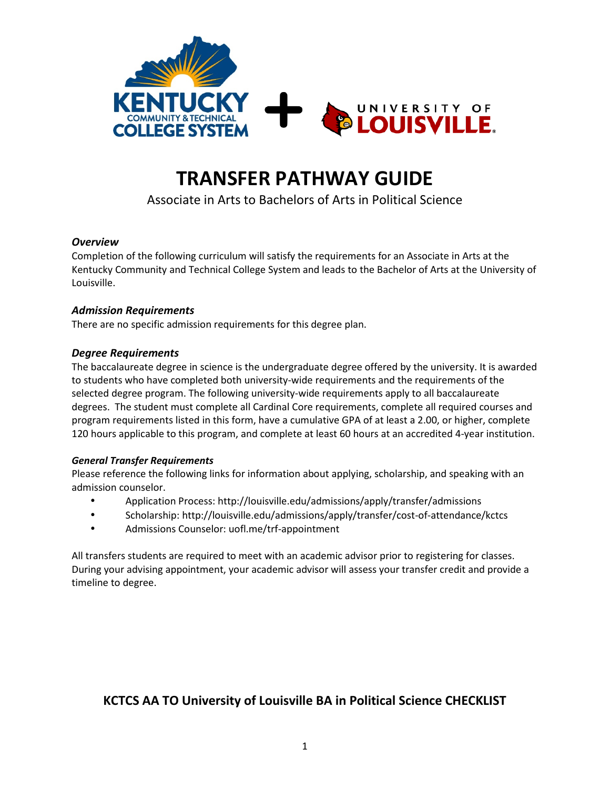

# **TRANSFER PATHWAY GUIDE**

Associate in Arts to Bachelors of Arts in Political Science

## *Overview*

Completion of the following curriculum will satisfy the requirements for an Associate in Arts at the Kentucky Community and Technical College System and leads to the Bachelor of Arts at the University of Louisville.

## *Admission Requirements*

There are no specific admission requirements for this degree plan.

## *Degree Requirements*

The baccalaureate degree in science is the undergraduate degree offered by the university. It is awarded to students who have completed both university-wide requirements and the requirements of the selected degree program. The following university-wide requirements apply to all baccalaureate degrees. The student must complete all Cardinal Core requirements, complete all required courses and program requirements listed in this form, have a cumulative GPA of at least a 2.00, or higher, complete 120 hours applicable to this program, and complete at least 60 hours at an accredited 4-year institution.

#### *General Transfer Requirements*

Please reference the following links for information about applying, scholarship, and speaking with an admission counselor.

- Application Process: http://louisville.edu/admissions/apply/transfer/admissions
- Scholarship: http://louisville.edu/admissions/apply/transfer/cost-of-attendance/kctcs
- Admissions Counselor: uofl.me/trf-appointment

All transfers students are required to meet with an academic advisor prior to registering for classes. During your advising appointment, your academic advisor will assess your transfer credit and provide a timeline to degree.

## **KCTCS AA TO University of Louisville BA in Political Science CHECKLIST**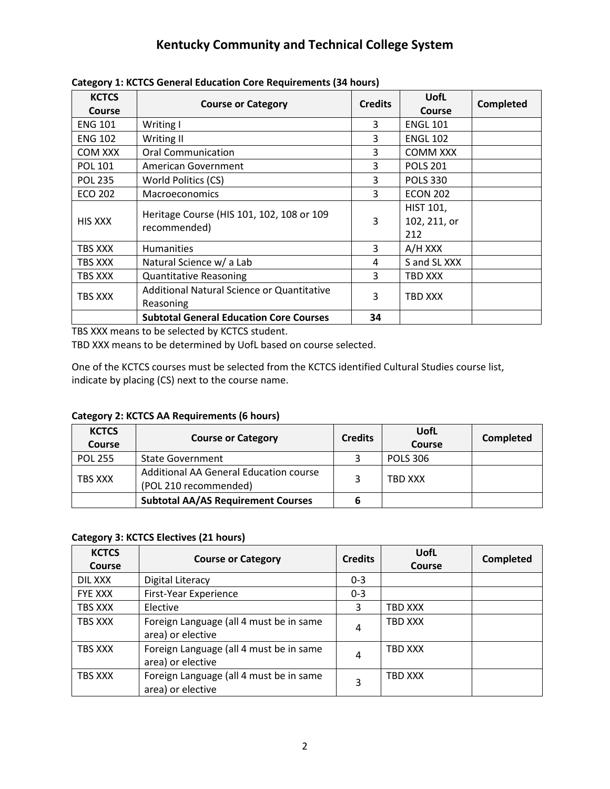## **Kentucky Community and Technical College System**

| <b>KCTCS</b><br>Course | <b>Course or Category</b>                                 | <b>Credits</b> | <b>UofL</b><br><b>Course</b>            | Completed |
|------------------------|-----------------------------------------------------------|----------------|-----------------------------------------|-----------|
| <b>ENG 101</b>         | Writing I                                                 | 3              | <b>ENGL 101</b>                         |           |
| <b>ENG 102</b>         | Writing II                                                | 3              | <b>ENGL 102</b>                         |           |
| COM XXX                | <b>Oral Communication</b>                                 | 3              | <b>COMM XXX</b>                         |           |
| <b>POL 101</b>         | American Government                                       | 3              | <b>POLS 201</b>                         |           |
| <b>POL 235</b>         | World Politics (CS)                                       | 3              | <b>POLS 330</b>                         |           |
| <b>ECO 202</b>         | <b>Macroeconomics</b>                                     | 3              | <b>ECON 202</b>                         |           |
| HIS XXX                | Heritage Course (HIS 101, 102, 108 or 109<br>recommended) | 3              | <b>HIST 101,</b><br>102, 211, or<br>212 |           |
| TBS XXX                | <b>Humanities</b>                                         | 3              | A/H XXX                                 |           |
| TBS XXX                | Natural Science w/ a Lab                                  | 4              | S and SL XXX                            |           |
| TBS XXX                | <b>Quantitative Reasoning</b>                             | 3              | TBD XXX                                 |           |
| TBS XXX                | Additional Natural Science or Quantitative<br>Reasoning   | 3              | TBD XXX                                 |           |
|                        | <b>Subtotal General Education Core Courses</b>            | 34             |                                         |           |

**Category 1: KCTCS General Education Core Requirements (34 hours)**

TBS XXX means to be selected by KCTCS student.

TBD XXX means to be determined by UofL based on course selected.

One of the KCTCS courses must be selected from the KCTCS identified Cultural Studies course list, indicate by placing (CS) next to the course name.

**Category 2: KCTCS AA Requirements (6 hours)**

| <b>KCTCS</b><br>Course | <b>Course or Category</b>                                       | <b>Credits</b> | UofL<br>Course  | Completed |
|------------------------|-----------------------------------------------------------------|----------------|-----------------|-----------|
| <b>POL 255</b>         | <b>State Government</b>                                         |                | <b>POLS 306</b> |           |
| <b>TBS XXX</b>         | Additional AA General Education course<br>(POL 210 recommended) |                | TBD XXX         |           |
|                        | <b>Subtotal AA/AS Requirement Courses</b>                       |                |                 |           |

## **Category 3: KCTCS Electives (21 hours)**

| <b>KCTCS</b><br>Course | <b>Course or Category</b>                                    | <b>Credits</b> | UofL<br>Course | <b>Completed</b> |
|------------------------|--------------------------------------------------------------|----------------|----------------|------------------|
| DIL XXX                | Digital Literacy                                             | $0 - 3$        |                |                  |
| <b>FYE XXX</b>         | First-Year Experience                                        | $0 - 3$        |                |                  |
| TBS XXX                | Elective                                                     | 3              | TBD XXX        |                  |
| TBS XXX                | Foreign Language (all 4 must be in same<br>area) or elective | 4              | <b>TBD XXX</b> |                  |
| TBS XXX                | Foreign Language (all 4 must be in same<br>area) or elective | 4              | TBD XXX        |                  |
| TBS XXX                | Foreign Language (all 4 must be in same<br>area) or elective | 3              | TBD XXX        |                  |